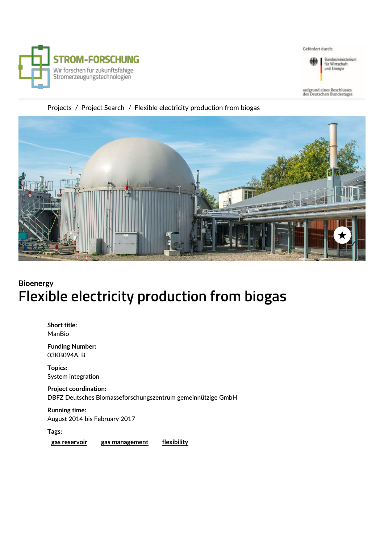

Gefördert durch:



Bundesministerium<br>für Wirtschaft und Energie

### [Projects](https://strom-forschung.de/en/projects/) / Project Search / Flexible electricity production from biogas



### **Bioenergy Flexible electricity production from biogas**

**Short title:** ManBio

**Funding Number:** 03KB094A, B

**Topics:** System integration

**Project coordination:** DBFZ Deutsches Biomasseforschungszentrum gemeinnützige GmbH

**Running time:** August 2014 bis February 2017

**Tags:**

**gas [reservoir](https://strom-forschung.de/en/service/search/gas-reservoir/) gas [management](https://strom-forschung.de/en/service/search/gas-management/) [flexibility](https://strom-forschung.de/en/service/search/flexibility/)**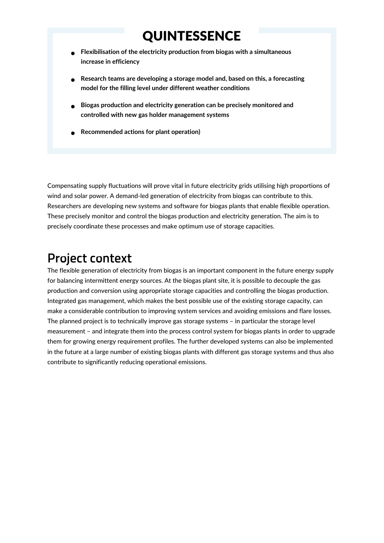# **QUINTESSENCE**

- **Flexibilisation of the electricity production from biogas with a simultaneous increase in efficiency**
- **Research teams are developing a storage model and, based on this, a forecasting model for the filling level under different weather conditions**
- **Biogas production and electricity generation can be precisely monitored and controlled with new gas holder management systems**
- **Recommended actions for plant operation)**

Compensating supply fluctuations will prove vital in future electricity grids utilising high proportions of wind and solar power. A demand-led generation of electricity from biogas can contribute to this. Researchers are developing new systems and software for biogas plants that enable flexible operation. These precisely monitor and control the biogas production and electricity generation. The aim is to precisely coordinate these processes and make optimum use of storage capacities.

## **Project context**

The flexible generation of electricity from biogas is an important component in the future energy supply for balancing intermittent energy sources. At the biogas plant site, it is possible to decouple the gas production and conversion using appropriate storage capacities and controlling the biogas production. Integrated gas management, which makes the best possible use of the existing storage capacity, can make a considerable contribution to improving system services and avoiding emissions and flare losses. The planned project is to technically improve gas storage systems – in particular the storage level measurement – and integrate them into the process control system for biogas plants in order to upgrade them for growing energy requirement profiles. The further developed systems can also be implemented in the future at a large number of existing biogas plants with different gas storage systems and thus also contribute to significantly reducing operational emissions.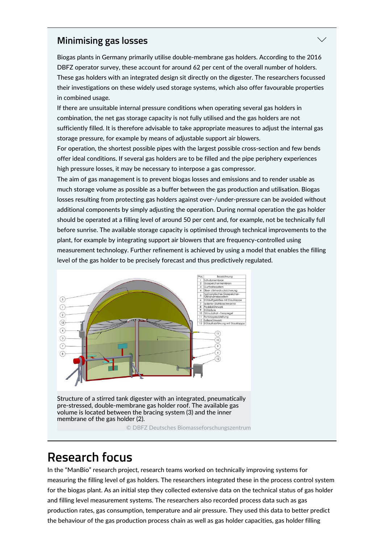### **Minimising gas losses**

Biogas plants in Germany primarily utilise double-membrane gas holders. According to the 2016 DBFZ operator survey, these account for around 62 per cent of the overall number of holders. These gas holders with an integrated design sit directly on the digester. The researchers focussed their investigations on these widely used storage systems, which also offer favourable properties in combined usage.

If there are unsuitable internal pressure conditions when operating several gas holders in combination, the net gas storage capacity is not fully utilised and the gas holders are not sufficiently filled. It is therefore advisable to take appropriate measures to adjust the internal gas storage pressure, for example by means of adjustable support air blowers.

For operation, the shortest possible pipes with the largest possible cross-section and few bends offer ideal conditions. If several gas holders are to be filled and the pipe periphery experiences high pressure losses, it may be necessary to interpose a gas compressor.

The aim of gas management is to prevent biogas losses and emissions and to render usable as much storage volume as possible as a buffer between the gas production and utilisation. Biogas losses resulting from protecting gas holders against over-/under-pressure can be avoided without additional components by simply adjusting the operation. During normal operation the gas holder should be operated at a filling level of around 50 per cent and, for example, not be technically full before sunrise. The available storage capacity is optimised through technical improvements to the plant, for example by integrating support air blowers that are frequency-controlled using measurement technology. Further refinement is achieved by using a model that enables the filling level of the gas holder to be precisely forecast and thus predictively regulated.



## **Research focus**

In the "ManBio" research project, research teams worked on technically improving systems for measuring the filling level of gas holders. The researchers integrated these in the process control system for the biogas plant. As an initial step they collected extensive data on the technical status of gas holder and filling level measurement systems. The researchers also recorded process data such as gas production rates, gas consumption, temperature and air pressure. They used this data to better predict the behaviour of the gas production process chain as well as gas holder capacities, gas holder filling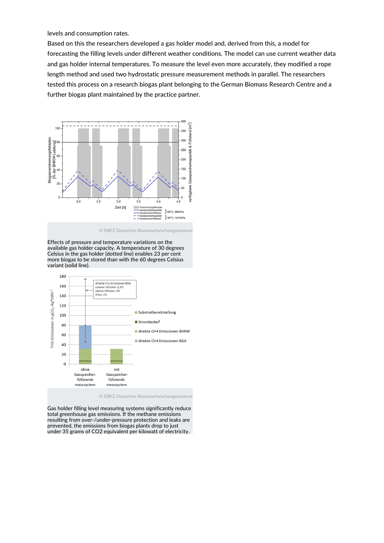levels and consumption rates.

Based on this the researchers developed a gas holder model and, derived from this, a model for forecasting the filling levels under different weather conditions. The model can use current weather data and gas holder internal temperatures. To measure the level even more accurately, they modified a rope length method and used two hydrostatic pressure measurement methods in parallel. The researchers tested this process on a research biogas plant belonging to the German Biomass Research Centre and a further biogas plant maintained by the practice partner.



© DBFZ Deutsches Biomasseforschungszentrum

Effects of pressure and temperature variations on the available gas holder capacity. A temperature of 30 degrees Celsius in the gas holder (dotted line) enables 23 per cent more biogas to be stored than with the 60 degrees Celsius variant (solid line).



© DBFZ Deutsches Biomasseforschungszentrum

Gas holder filling level measuring systems significantly reduce total greenhouse gas emissions. If the methane emissions resulting from over-/under-pressure protection and leaks are prevented, the emissions from biogas plants drop to just under 35 grams of CO2 equivalent per kilowatt of electricity.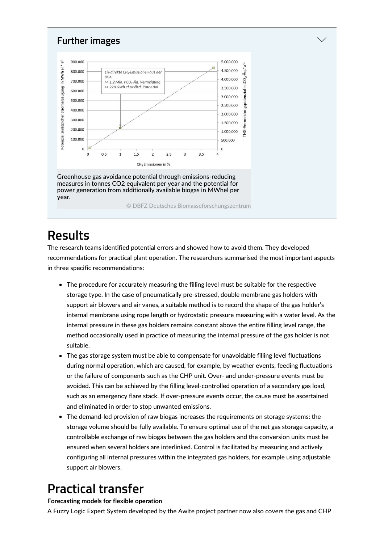

## **Results**

The research teams identified potential errors and showed how to avoid them. They developed recommendations for practical plant operation. The researchers summarised the most important aspects in three specific recommendations:

- The procedure for accurately measuring the filling level must be suitable for the respective storage type. In the case of pneumatically pre-stressed, double membrane gas holders with support air blowers and air vanes, a suitable method is to record the shape of the gas holder's internal membrane using rope length or hydrostatic pressure measuring with a water level. As the internal pressure in these gas holders remains constant above the entire filling level range, the method occasionally used in practice of measuring the internal pressure of the gas holder is not suitable.
- The gas storage system must be able to compensate for unavoidable filling level fluctuations during normal operation, which are caused, for example, by weather events, feeding fluctuations or the failure of components such as the CHP unit. Over- and under-pressure events must be avoided. This can be achieved by the filling level-controlled operation of a secondary gas load, such as an emergency flare stack. If over-pressure events occur, the cause must be ascertained and eliminated in order to stop unwanted emissions.
- The demand-led provision of raw biogas increases the requirements on storage systems: the storage volume should be fully available. To ensure optimal use of the net gas storage capacity, a controllable exchange of raw biogas between the gas holders and the conversion units must be ensured when several holders are interlinked. Control is facilitated by measuring and actively configuring all internal pressures within the integrated gas holders, for example using adjustable support air blowers.

# **Practical transfer**

#### **Forecasting models for flexible operation**

A Fuzzy Logic Expert System developed by the Awite project partner now also covers the gas and CHP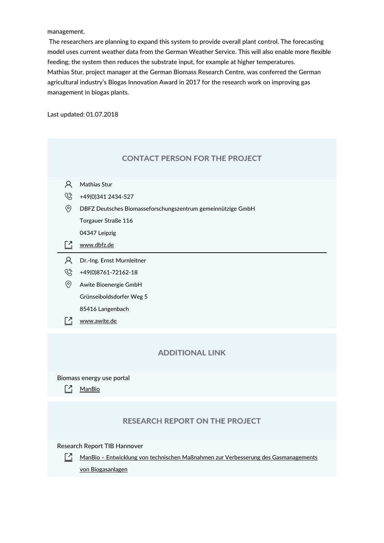management.

The researchers are planning to expand this system to provide overall plant control. The forecasting model uses current weather data from the German Weather Service. This will also enable more flexible feeding; the system then reduces the substrate input, for example at higher temperatures. Mathias Stur, project manager at the German Biomass Research Centre, was conferred the German agricultural industry's Biogas Innovation Award in 2017 for the research work on improving gas management in biogas plants.

Last updated: 01.07.2018

| <b>CONTACT PERSON FOR THE PROJECT</b> |  |  |  |
|---------------------------------------|--|--|--|
|                                       |  |  |  |

| Ά | Mathias Stur |  |
|---|--------------|--|
|   |              |  |

 $\circled{8}$  +49(0)341 2434-527

DBFZ Deutsches Biomasseforschungszentrum gemeinnützige GmbH

Torgauer Straße 116

04347 Leipzig

- $\Box$  [www.dbfz.de](http://www.dbfz.de)
- Dr.-Ing. Ernst Murnleitner
- $\circledS$  +49(0)8761-72162-18
- Awite Bioenergie GmbH Grünseiboldsdorfer Weg 5

85416 Langenbach

[7] [www.awite.de](http://www.awite.de)

#### **ADDITIONAL LINK**

Biomass energy use portal

 $\lceil \frac{7}{1} \rceil$  [ManBio](https://www.energetische-biomassenutzung.de/en/projects-partners/details/project/show/Project/manbio-519/)

#### **RESEARCH REPORT ON THE PROJECT**

Research Report TIB Hannover

ManBio – Entwicklung von technischen Maßnahmen zur Verbesserung des [Gasmanagements](https://www.tib.eu/suchen/id/TIBKAT:1045310867/) von Biogasanlagen